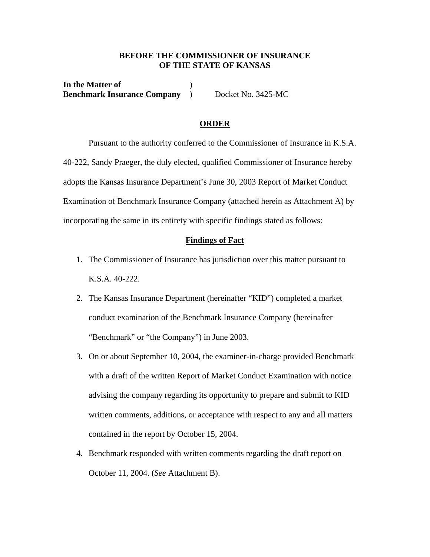## **BEFORE THE COMMISSIONER OF INSURANCE OF THE STATE OF KANSAS**

**In the Matter of** ) **Benchmark Insurance Company** ) Docket No. 3425-MC

#### **ORDER**

 Pursuant to the authority conferred to the Commissioner of Insurance in K.S.A. 40-222, Sandy Praeger, the duly elected, qualified Commissioner of Insurance hereby adopts the Kansas Insurance Department's June 30, 2003 Report of Market Conduct Examination of Benchmark Insurance Company (attached herein as Attachment A) by incorporating the same in its entirety with specific findings stated as follows:

## **Findings of Fact**

- 1. The Commissioner of Insurance has jurisdiction over this matter pursuant to K.S.A. 40-222.
- 2. The Kansas Insurance Department (hereinafter "KID") completed a market conduct examination of the Benchmark Insurance Company (hereinafter "Benchmark" or "the Company") in June 2003.
- 3. On or about September 10, 2004, the examiner-in-charge provided Benchmark with a draft of the written Report of Market Conduct Examination with notice advising the company regarding its opportunity to prepare and submit to KID written comments, additions, or acceptance with respect to any and all matters contained in the report by October 15, 2004.
- 4. Benchmark responded with written comments regarding the draft report on October 11, 2004. (*See* Attachment B).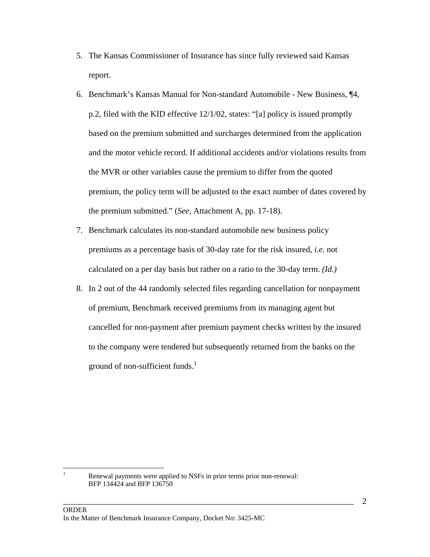- 5. The Kansas Commissioner of Insurance has since fully reviewed said Kansas report.
- 6. Benchmark's Kansas Manual for Non-standard Automobile New Business, ¶4, p.2, filed with the KID effective 12/1/02, states: "[a] policy is issued promptly based on the premium submitted and surcharges determined from the application and the motor vehicle record. If additional accidents and/or violations results from the MVR or other variables cause the premium to differ from the quoted premium, the policy term will be adjusted to the exact number of dates covered by the premium submitted." (*See,* Attachment A, pp. 17-18).
- 7. Benchmark calculates its non-standard automobile new business policy premiums as a percentage basis of 30-day rate for the risk insured, *i.e.* not calculated on a per day basis but rather on a ratio to the 30-day term. *(Id.)*
- 8. In 2 out of the 44 randomly selected files regarding cancellation for nonpayment of premium, Benchmark received premiums from its managing agent but cancelled for non-payment after premium payment checks written by the insured to the company were tendered but subsequently returned from the banks on the ground of non-sufficient funds. $<sup>1</sup>$ </sup>

\_\_\_\_\_\_\_\_\_\_\_\_\_\_\_\_\_\_\_\_\_\_\_\_\_\_\_\_\_\_\_\_\_\_\_\_\_\_\_\_\_\_\_\_\_\_\_\_\_\_\_\_\_\_\_\_\_\_\_\_\_\_\_\_\_\_\_\_\_

 $\frac{1}{1}$ 

Renewal payments were applied to NSFs in prior terms prior non-renewal: BFP 134424 and BFP 136750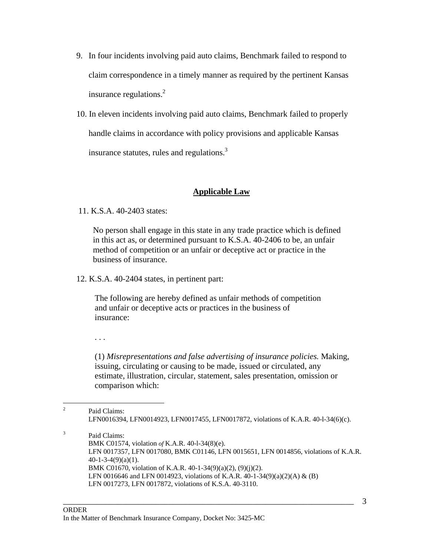- 9. In four incidents involving paid auto claims, Benchmark failed to respond to claim correspondence in a timely manner as required by the pertinent Kansas insurance regulations. $2$
- 10. In eleven incidents involving paid auto claims, Benchmark failed to properly handle claims in accordance with policy provisions and applicable Kansas insurance statutes, rules and regulations.<sup>3</sup>

# **Applicable Law**

11. K.S.A. 40-2403 states:

No person shall engage in this state in any trade practice which is defined in this act as, or determined pursuant to K.S.A. 40-2406 to be, an unfair method of competition or an unfair or deceptive act or practice in the business of insurance.

12. K.S.A. 40-2404 states, in pertinent part:

The following are hereby defined as unfair methods of competition and unfair or deceptive acts or practices in the business of insurance:

. . .

3

(1) *Misrepresentations and false advertising of insurance policies.* Making, issuing, circulating or causing to be made, issued or circulated, any estimate, illustration, circular, statement, sales presentation, omission or comparison which:

 $\frac{1}{2}$  Paid Claims: LFN0016394, LFN0014923, LFN0017455, LFN0017872, violations of K.A.R. 40-l-34(6)(c).

 Paid Claims: BMK C01574, violation *of* K.A.R. 40-l-34(8)(e). LFN 0017357, LFN 0017080, BMK C01146, LFN 0015651, LFN 0014856, violations of K.A.R.  $40-1-3-4(9)(a)(1)$ . BMK C01670, violation of K.A.R. 40-1-34(9)(a)(2), (9)(j)(2). LFN 0016646 and LFN 0014923, violations of K.A.R. 40-1-34(9)(a)(2)(A) & (B) LFN 0017273, LFN 0017872, violations of K.S.A. 40-3110.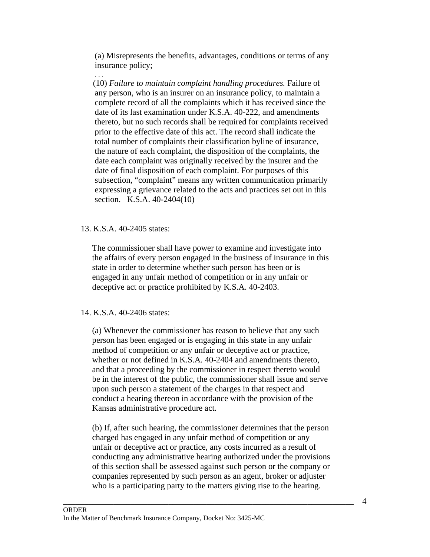(a) Misrepresents the benefits, advantages, conditions or terms of any insurance policy;

(10) *Failure to maintain complaint handling procedures.* Failure of any person, who is an insurer on an insurance policy, to maintain a complete record of all the complaints which it has received since the date of its last examination under K.S.A. 40-222, and amendments thereto, but no such records shall be required for complaints received prior to the effective date of this act. The record shall indicate the total number of complaints their classification byline of insurance, the nature of each complaint, the disposition of the complaints, the date each complaint was originally received by the insurer and the date of final disposition of each complaint. For purposes of this subsection, "complaint" means any written communication primarily expressing a grievance related to the acts and practices set out in this section. K.S.A. 40-2404(10)

#### 13. K.S.A. 40-2405 states:

 The commissioner shall have power to examine and investigate into the affairs of every person engaged in the business of insurance in this state in order to determine whether such person has been or is engaged in any unfair method of competition or in any unfair or deceptive act or practice prohibited by K.S.A. 40-2403.

## 14. K.S.A. 40-2406 states:

 (a) Whenever the commissioner has reason to believe that any such person has been engaged or is engaging in this state in any unfair method of competition or any unfair or deceptive act or practice, whether or not defined in K.S.A. 40-2404 and amendments thereto, and that a proceeding by the commissioner in respect thereto would be in the interest of the public, the commissioner shall issue and serve upon such person a statement of the charges in that respect and conduct a hearing thereon in accordance with the provision of the Kansas administrative procedure act.

 (b) If, after such hearing, the commissioner determines that the person charged has engaged in any unfair method of competition or any unfair or deceptive act or practice, any costs incurred as a result of conducting any administrative hearing authorized under the provisions of this section shall be assessed against such person or the company or companies represented by such person as an agent, broker or adjuster who is a participating party to the matters giving rise to the hearing.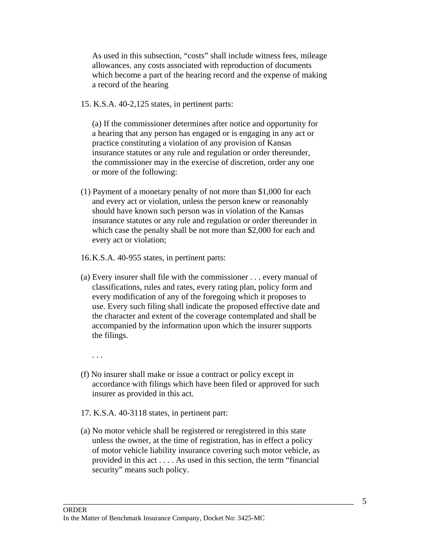As used in this subsection, "costs" shall include witness fees, mileage allowances. any costs associated with reproduction of documents which become a part of the hearing record and the expense of making a record of the hearing

15. K.S.A. 40-2,125 states, in pertinent parts:

(a) If the commissioner determines after notice and opportunity for a hearing that any person has engaged or is engaging in any act or practice constituting a violation of any provision of Kansas insurance statutes or any rule and regulation or order thereunder, the commissioner may in the exercise of discretion, order any one or more of the following:

- (1) Payment of a monetary penalty of not more than \$1,000 for each and every act or violation, unless the person knew or reasonably should have known such person was in violation of the Kansas insurance statutes or any rule and regulation or order thereunder in which case the penalty shall be not more than \$2,000 for each and every act or violation;
- 16. K.S.A. 40-955 states, in pertinent parts:
- (a) Every insurer shall file with the commissioner . . . every manual of classifications, rules and rates, every rating plan, policy form and every modification of any of the foregoing which it proposes to use. Every such filing shall indicate the proposed effective date and the character and extent of the coverage contemplated and shall be accompanied by the information upon which the insurer supports the filings.

. . .

- (f) No insurer shall make or issue a contract or policy except in accordance with filings which have been filed or approved for such insurer as provided in this act.
- 17. K.S.A. 40-3118 states, in pertinent part:
- (a) No motor vehicle shall be registered or reregistered in this state unless the owner, at the time of registration, has in effect a policy of motor vehicle liability insurance covering such motor vehicle, as provided in this act . . . . As used in this section, the term "financial security" means such policy.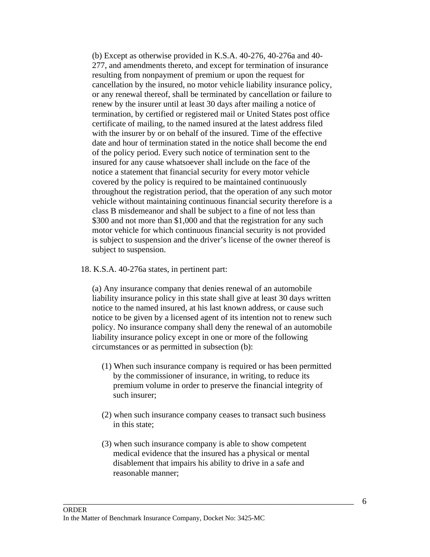(b) Except as otherwise provided in K.S.A. 40-276, 40-276a and 40- 277, and amendments thereto, and except for termination of insurance resulting from nonpayment of premium or upon the request for cancellation by the insured, no motor vehicle liability insurance policy, or any renewal thereof, shall be terminated by cancellation or failure to renew by the insurer until at least 30 days after mailing a notice of termination, by certified or registered mail or United States post office certificate of mailing, to the named insured at the latest address filed with the insurer by or on behalf of the insured. Time of the effective date and hour of termination stated in the notice shall become the end of the policy period. Every such notice of termination sent to the insured for any cause whatsoever shall include on the face of the notice a statement that financial security for every motor vehicle covered by the policy is required to be maintained continuously throughout the registration period, that the operation of any such motor vehicle without maintaining continuous financial security therefore is a class B misdemeanor and shall be subject to a fine of not less than \$300 and not more than \$1,000 and that the registration for any such motor vehicle for which continuous financial security is not provided is subject to suspension and the driver's license of the owner thereof is subject to suspension.

18. K.S.A. 40-276a states, in pertinent part:

 (a) Any insurance company that denies renewal of an automobile liability insurance policy in this state shall give at least 30 days written notice to the named insured, at his last known address, or cause such notice to be given by a licensed agent of its intention not to renew such policy. No insurance company shall deny the renewal of an automobile liability insurance policy except in one or more of the following circumstances or as permitted in subsection (b):

- (1) When such insurance company is required or has been permitted by the commissioner of insurance, in writing, to reduce its premium volume in order to preserve the financial integrity of such insurer;
- (2) when such insurance company ceases to transact such business in this state;
- (3) when such insurance company is able to show competent medical evidence that the insured has a physical or mental disablement that impairs his ability to drive in a safe and reasonable manner;

\_\_\_\_\_\_\_\_\_\_\_\_\_\_\_\_\_\_\_\_\_\_\_\_\_\_\_\_\_\_\_\_\_\_\_\_\_\_\_\_\_\_\_\_\_\_\_\_\_\_\_\_\_\_\_\_\_\_\_\_\_\_\_\_\_\_\_\_\_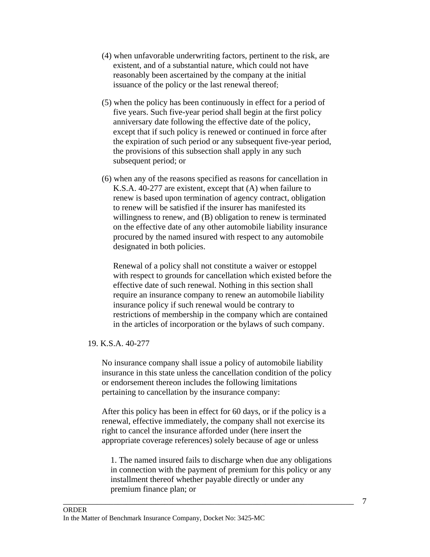- (4) when unfavorable underwriting factors, pertinent to the risk, are existent, and of a substantial nature, which could not have reasonably been ascertained by the company at the initial issuance of the policy or the last renewal thereof;
- (5) when the policy has been continuously in effect for a period of five years. Such five-year period shall begin at the first policy anniversary date following the effective date of the policy, except that if such policy is renewed or continued in force after the expiration of such period or any subsequent five-year period, the provisions of this subsection shall apply in any such subsequent period; or
- (6) when any of the reasons specified as reasons for cancellation in K.S.A. 40-277 are existent, except that (A) when failure to renew is based upon termination of agency contract, obligation to renew will be satisfied if the insurer has manifested its willingness to renew, and (B) obligation to renew is terminated on the effective date of any other automobile liability insurance procured by the named insured with respect to any automobile designated in both policies.

 Renewal of a policy shall not constitute a waiver or estoppel with respect to grounds for cancellation which existed before the effective date of such renewal. Nothing in this section shall require an insurance company to renew an automobile liability insurance policy if such renewal would be contrary to restrictions of membership in the company which are contained in the articles of incorporation or the bylaws of such company.

# 19. K.S.A. 40-277

 No insurance company shall issue a policy of automobile liability insurance in this state unless the cancellation condition of the policy or endorsement thereon includes the following limitations pertaining to cancellation by the insurance company:

 After this policy has been in effect for 60 days, or if the policy is a renewal, effective immediately, the company shall not exercise its right to cancel the insurance afforded under (here insert the appropriate coverage references) solely because of age or unless

 1. The named insured fails to discharge when due any obligations in connection with the payment of premium for this policy or any installment thereof whether payable directly or under any premium finance plan; or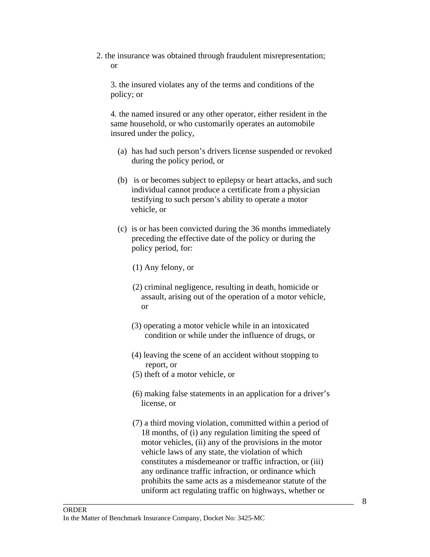2. the insurance was obtained through fraudulent misrepresentation; or

 3. the insured violates any of the terms and conditions of the policy; or

 4. the named insured or any other operator, either resident in the same household, or who customarily operates an automobile insured under the policy,

- (a) has had such person's drivers license suspended or revoked during the policy period, or
- (b) is or becomes subject to epilepsy or heart attacks, and such individual cannot produce a certificate from a physician testifying to such person's ability to operate a motor vehicle, or
- (c) is or has been convicted during the 36 months immediately preceding the effective date of the policy or during the policy period, for:
	- (1) Any felony, or
	- (2) criminal negligence, resulting in death, homicide or assault, arising out of the operation of a motor vehicle, or
	- (3) operating a motor vehicle while in an intoxicated condition or while under the influence of drugs, or
	- (4) leaving the scene of an accident without stopping to report, or
	- (5) theft of a motor vehicle, or
	- (6) making false statements in an application for a driver's license, or
	- (7) a third moving violation, committed within a period of 18 months, of (i) any regulation limiting the speed of motor vehicles, (ii) any of the provisions in the motor vehicle laws of any state, the violation of which constitutes a misdemeanor or traffic infraction, or (iii) any ordinance traffic infraction, or ordinance which prohibits the same acts as a misdemeanor statute of the uniform act regulating traffic on highways, whether or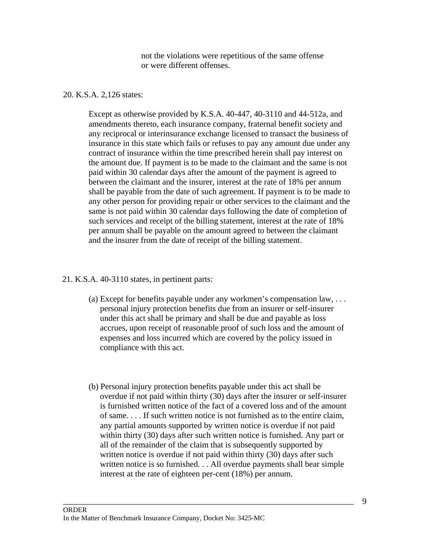not the violations were repetitious of the same offense or were different offenses.

## 20. K.S.A. 2,126 states:

Except as otherwise provided by K.S.A. 40-447, 40-3110 and 44-512a, and amendments thereto, each insurance company, fraternal benefit society and any reciprocal or interinsurance exchange licensed to transact the business of insurance in this state which fails or refuses to pay any amount due under any contract of insurance within the time prescribed herein shall pay interest on the amount due. If payment is to be made to the claimant and the same is not paid within 30 calendar days after the amount of the payment is agreed to between the claimant and the insurer, interest at the rate of 18% per annum shall be payable from the date of such agreement. If payment is to be made to any other person for providing repair or other services to the claimant and the same is not paid within 30 calendar days following the date of completion of such services and receipt of the billing statement, interest at the rate of 18% per annum shall be payable on the amount agreed to between the claimant and the insurer from the date of receipt of the billing statement.

## 21. K.S.A. 40-3110 states, in pertinent parts:

- (a) Except for benefits payable under any workmen's compensation  $law, \ldots$ personal injury protection benefits due from an insurer or self-insurer under this act shall be primary and shall be due and payable as loss accrues, upon receipt of reasonable proof of such loss and the amount of expenses and loss incurred which are covered by the policy issued in compliance with this act.
- (b) Personal injury protection benefits payable under this act shall be overdue if not paid within thirty (30) days after the insurer or self-insurer is furnished written notice of the fact of a covered loss and of the amount of same. . . . If such written notice is not furnished as to the entire claim, any partial amounts supported by written notice is overdue if not paid within thirty (30) days after such written notice is furnished. Any part or all of the remainder of the claim that is subsequently supported by written notice is overdue if not paid within thirty (30) days after such written notice is so furnished. . . All overdue payments shall bear simple interest at the rate of eighteen per-cent (18%) per annum.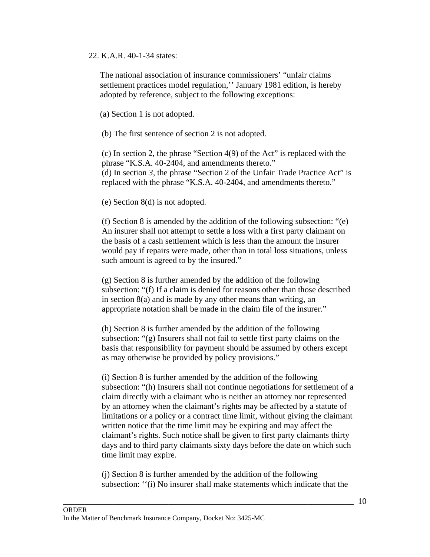## 22. K.A.R. 40-1-34 states:

 The national association of insurance commissioners' "unfair claims settlement practices model regulation,'' January 1981 edition, is hereby adopted by reference, subject to the following exceptions:

(a) Section 1 is not adopted.

(b) The first sentence of section 2 is not adopted.

(c) In section 2, the phrase "Section 4(9) of the Act" is replaced with the phrase "K.S.A. 40-2404, and amendments thereto." (d) In section *3,* the phrase "Section 2 of the Unfair Trade Practice Act" is replaced with the phrase "K.S.A. 40-2404, and amendments thereto."

(e) Section 8(d) is not adopted.

(f) Section 8 is amended by the addition of the following subsection: "(e) An insurer shall not attempt to settle a loss with a first party claimant on the basis of a cash settlement which is less than the amount the insurer would pay if repairs were made, other than in total loss situations, unless such amount is agreed to by the insured."

(g) Section 8 is further amended by the addition of the following subsection: "(f) If a claim is denied for reasons other than those described in section 8(a) and is made by any other means than writing, an appropriate notation shall be made in the claim file of the insurer."

(h) Section 8 is further amended by the addition of the following subsection: "(g) Insurers shall not fail to settle first party claims on the basis that responsibility for payment should be assumed by others except as may otherwise be provided by policy provisions."

(i) Section 8 is further amended by the addition of the following subsection: "(h) Insurers shall not continue negotiations for settlement of a claim directly with a claimant who is neither an attorney nor represented by an attorney when the claimant's rights may be affected by a statute of limitations or a policy or a contract time limit, without giving the claimant written notice that the time limit may be expiring and may affect the claimant's rights. Such notice shall be given to first party claimants thirty days and to third party claimants sixty days before the date on which such time limit may expire.

(j) Section 8 is further amended by the addition of the following subsection: ''(i) No insurer shall make statements which indicate that the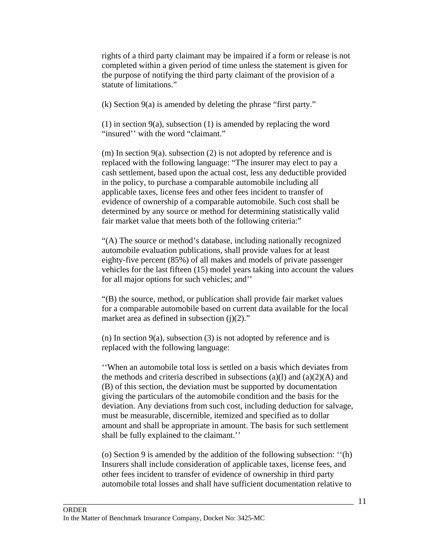rights of a third party claimant may be impaired if a form or release is not completed within a given period of time unless the statement is given for the purpose of notifying the third party claimant of the provision of a statute of limitations."

(k) Section 9(a) is amended by deleting the phrase "first party."

(1) in section 9(a), subsection (1) is amended by replacing the word "insured'' with the word "claimant."

(m) In section  $9(a)$ , subsection (2) is not adopted by reference and is replaced with the following language: "The insurer may elect to pay a cash settlement, based upon the actual cost, less any deductible provided in the policy, to purchase a comparable automobile including all applicable taxes, license fees and other fees incident to transfer of evidence of ownership of a comparable automobile. Such cost shall be determined by any source or method for determining statistically valid fair market value that meets both of the following criteria:"

"(A) The source or method's database, including nationally recognized automobile evaluation publications, shall provide values for at least eighty-five percent (85%) of all makes and models of private passenger vehicles for the last fifteen (15) model years taking into account the values for all major options for such vehicles; and''

"(B) the source, method, or publication shall provide fair market values for a comparable automobile based on current data available for the local market area as defined in subsection  $(i)(2)$ ."

(n) In section  $9(a)$ , subsection (3) is not adopted by reference and is replaced with the following language:

''When an automobile total loss is settled on a basis which deviates from the methods and criteria described in subsections (a)(1) and (a)(2)(A) and (B) of this section, the deviation must be supported by documentation giving the particulars of the automobile condition and the basis for the deviation. Any deviations from such cost, including deduction for salvage, must be measurable, discernible, itemized and specified as to dollar amount and shall be appropriate in amount. The basis for such settlement shall be fully explained to the claimant.''

(o) Section 9 is amended by the addition of the following subsection: ''(h) Insurers shall include consideration of applicable taxes, license fees, and other fees incident to transfer of evidence of ownership in third party automobile total losses and shall have sufficient documentation relative to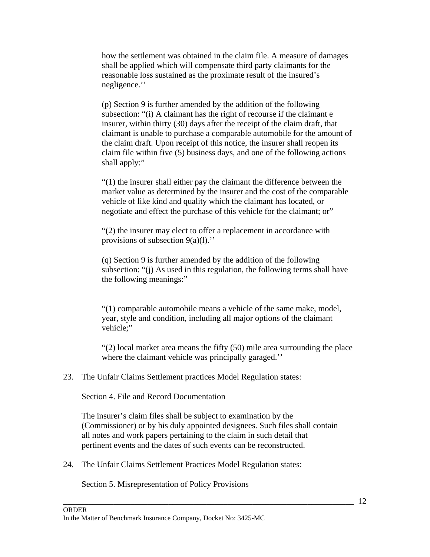how the settlement was obtained in the claim file. A measure of damages shall be applied which will compensate third party claimants for the reasonable loss sustained as the proximate result of the insured's negligence.''

(p) Section 9 is further amended by the addition of the following subsection: "(i) A claimant has the right of recourse if the claimant e insurer, within thirty (30) days after the receipt of the claim draft, that claimant is unable to purchase a comparable automobile for the amount of the claim draft. Upon receipt of this notice, the insurer shall reopen its claim file within five (5) business days, and one of the following actions shall apply:"

"(1) the insurer shall either pay the claimant the difference between the market value as determined by the insurer and the cost of the comparable vehicle of like kind and quality which the claimant has located, or negotiate and effect the purchase of this vehicle for the claimant; or"

"(2) the insurer may elect to offer a replacement in accordance with provisions of subsection  $9(a)(1)$ ."

(q) Section 9 is further amended by the addition of the following subsection: "(j) As used in this regulation, the following terms shall have the following meanings:"

"(1) comparable automobile means a vehicle of the same make, model, year, style and condition, including all major options of the claimant vehicle;"

"(2) local market area means the fifty (50) mile area surrounding the place where the claimant vehicle was principally garaged."

23. The Unfair Claims Settlement practices Model Regulation states:

Section 4. File and Record Documentation

 The insurer's claim files shall be subject to examination by the (Commissioner) or by his duly appointed designees. Such files shall contain all notes and work papers pertaining to the claim in such detail that pertinent events and the dates of such events can be reconstructed.

\_\_\_\_\_\_\_\_\_\_\_\_\_\_\_\_\_\_\_\_\_\_\_\_\_\_\_\_\_\_\_\_\_\_\_\_\_\_\_\_\_\_\_\_\_\_\_\_\_\_\_\_\_\_\_\_\_\_\_\_\_\_\_\_\_\_\_\_\_

24. The Unfair Claims Settlement Practices Model Regulation states:

Section 5. Misrepresentation of Policy Provisions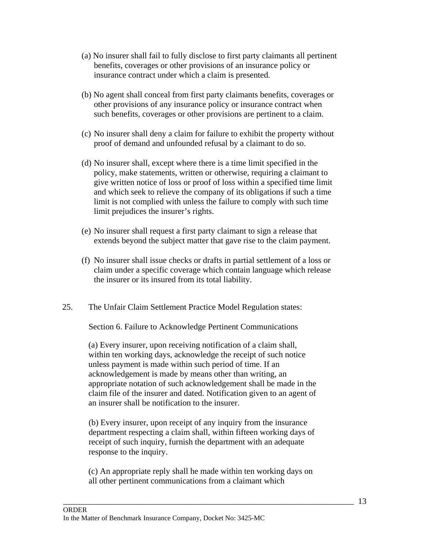- (a) No insurer shall fail to fully disclose to first party claimants all pertinent benefits, coverages or other provisions of an insurance policy or insurance contract under which a claim is presented.
- (b) No agent shall conceal from first party claimants benefits, coverages or other provisions of any insurance policy or insurance contract when such benefits, coverages or other provisions are pertinent to a claim.
- (c) No insurer shall deny a claim for failure to exhibit the property without proof of demand and unfounded refusal by a claimant to do so.
- (d) No insurer shall, except where there is a time limit specified in the policy, make statements, written or otherwise, requiring a claimant to give written notice of loss or proof of loss within a specified time limit and which seek to relieve the company of its obligations if such a time limit is not complied with unless the failure to comply with such time limit prejudices the insurer's rights.
- (e) No insurer shall request a first party claimant to sign a release that extends beyond the subject matter that gave rise to the claim payment.
- (f) No insurer shall issue checks or drafts in partial settlement of a loss or claim under a specific coverage which contain language which release the insurer or its insured from its total liability.
- 25. The Unfair Claim Settlement Practice Model Regulation states:

Section 6. Failure to Acknowledge Pertinent Communications

 (a) Every insurer, upon receiving notification of a claim shall, within ten working days, acknowledge the receipt of such notice unless payment is made within such period of time. If an acknowledgement is made by means other than writing, an appropriate notation of such acknowledgement shall be made in the claim file of the insurer and dated. Notification given to an agent of an insurer shall be notification to the insurer.

 (b) Every insurer, upon receipt of any inquiry from the insurance department respecting a claim shall, within fifteen working days of receipt of such inquiry, furnish the department with an adequate response to the inquiry.

(c) An appropriate reply shall he made within ten working days on all other pertinent communications from a claimant which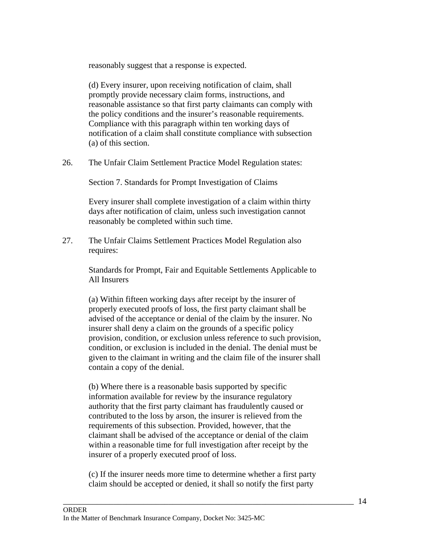reasonably suggest that a response is expected.

 (d) Every insurer, upon receiving notification of claim, shall promptly provide necessary claim forms, instructions, and reasonable assistance so that first party claimants can comply with the policy conditions and the insurer's reasonable requirements. Compliance with this paragraph within ten working days of notification of a claim shall constitute compliance with subsection (a) of this section.

26. The Unfair Claim Settlement Practice Model Regulation states:

Section 7. Standards for Prompt Investigation of Claims

 Every insurer shall complete investigation of a claim within thirty days after notification of claim, unless such investigation cannot reasonably be completed within such time.

27. The Unfair Claims Settlement Practices Model Regulation also requires:

> Standards for Prompt, Fair and Equitable Settlements Applicable to All Insurers

 (a) Within fifteen working days after receipt by the insurer of properly executed proofs of loss, the first party claimant shall be advised of the acceptance or denial of the claim by the insurer. No insurer shall deny a claim on the grounds of a specific policy provision, condition, or exclusion unless reference to such provision, condition, or exclusion is included in the denial. The denial must be given to the claimant in writing and the claim file of the insurer shall contain a copy of the denial.

 (b) Where there is a reasonable basis supported by specific information available for review by the insurance regulatory authority that the first party claimant has fraudulently caused or contributed to the loss by arson, the insurer is relieved from the requirements of this subsection. Provided, however, that the claimant shall be advised of the acceptance or denial of the claim within a reasonable time for full investigation after receipt by the insurer of a properly executed proof of loss.

 (c) If the insurer needs more time to determine whether a first party claim should be accepted or denied, it shall so notify the first party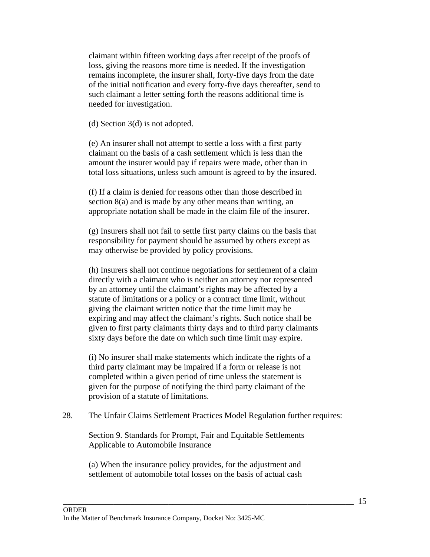claimant within fifteen working days after receipt of the proofs of loss, giving the reasons more time is needed. If the investigation remains incomplete, the insurer shall, forty-five days from the date of the initial notification and every forty-five days thereafter, send to such claimant a letter setting forth the reasons additional time is needed for investigation.

(d) Section 3(d) is not adopted.

 (e) An insurer shall not attempt to settle a loss with a first party claimant on the basis of a cash settlement which is less than the amount the insurer would pay if repairs were made, other than in total loss situations, unless such amount is agreed to by the insured.

 (f) If a claim is denied for reasons other than those described in section 8(a) and is made by any other means than writing, an appropriate notation shall be made in the claim file of the insurer.

 (g) Insurers shall not fail to settle first party claims on the basis that responsibility for payment should be assumed by others except as may otherwise be provided by policy provisions.

 (h) Insurers shall not continue negotiations for settlement of a claim directly with a claimant who is neither an attorney nor represented by an attorney until the claimant's rights may be affected by a statute of limitations or a policy or a contract time limit, without giving the claimant written notice that the time limit may be expiring and may affect the claimant's rights. Such notice shall be given to first party claimants thirty days and to third party claimants sixty days before the date on which such time limit may expire.

 (i) No insurer shall make statements which indicate the rights of a third party claimant may be impaired if a form or release is not completed within a given period of time unless the statement is given for the purpose of notifying the third party claimant of the provision of a statute of limitations.

28. The Unfair Claims Settlement Practices Model Regulation further requires:

 Section 9. Standards for Prompt, Fair and Equitable Settlements Applicable to Automobile Insurance

 (a) When the insurance policy provides, for the adjustment and settlement of automobile total losses on the basis of actual cash

\_\_\_\_\_\_\_\_\_\_\_\_\_\_\_\_\_\_\_\_\_\_\_\_\_\_\_\_\_\_\_\_\_\_\_\_\_\_\_\_\_\_\_\_\_\_\_\_\_\_\_\_\_\_\_\_\_\_\_\_\_\_\_\_\_\_\_\_\_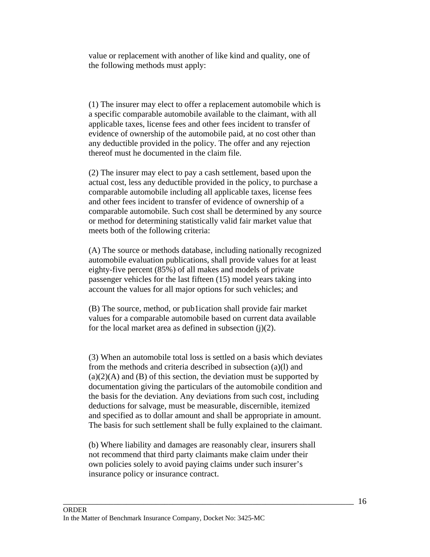value or replacement with another of like kind and quality, one of the following methods must apply:

 (1) The insurer may elect to offer a replacement automobile which is a specific comparable automobile available to the claimant, with all applicable taxes, license fees and other fees incident to transfer of evidence of ownership of the automobile paid, at no cost other than any deductible provided in the policy. The offer and any rejection thereof must he documented in the claim file.

 (2) The insurer may elect to pay a cash settlement, based upon the actual cost, less any deductible provided in the policy, to purchase a comparable automobile including all applicable taxes, license fees and other fees incident to transfer of evidence of ownership of a comparable automobile. Such cost shall be determined by any source or method for determining statistically valid fair market value that meets both of the following criteria:

 (A) The source or methods database, including nationally recognized automobile evaluation publications, shall provide values for at least eighty-five percent (85%) of all makes and models of private passenger vehicles for the last fifteen (15) model years taking into account the values for all major options for such vehicles; and

 (B) The source, method, or pub1ication shall provide fair market values for a comparable automobile based on current data available for the local market area as defined in subsection  $(i)(2)$ .

(3) When an automobile total loss is settled on a basis which deviates from the methods and criteria described in subsection (a)(l) and  $(a)(2)(A)$  and  $(B)$  of this section, the deviation must be supported by documentation giving the particulars of the automobile condition and the basis for the deviation. Any deviations from such cost, including deductions for salvage, must be measurable, discernible, itemized and specified as to dollar amount and shall be appropriate in amount. The basis for such settlement shall be fully explained to the claimant.

 (b) Where liability and damages are reasonably clear, insurers shall not recommend that third party claimants make claim under their own policies solely to avoid paying claims under such insurer's insurance policy or insurance contract.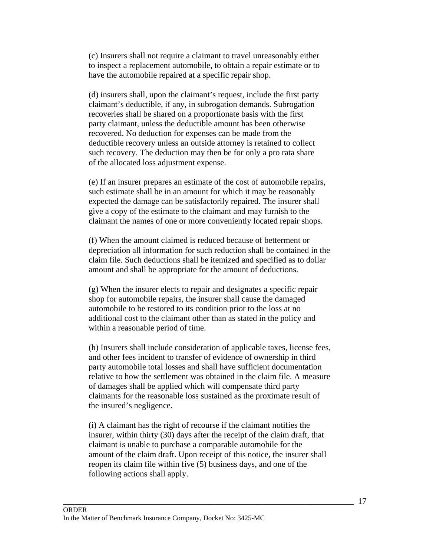(c) Insurers shall not require a claimant to travel unreasonably either to inspect a replacement automobile, to obtain a repair estimate or to have the automobile repaired at a specific repair shop.

 (d) insurers shall, upon the claimant's request, include the first party claimant's deductible, if any, in subrogation demands. Subrogation recoveries shall be shared on a proportionate basis with the first party claimant, unless the deductible amount has been otherwise recovered. No deduction for expenses can be made from the deductible recovery unless an outside attorney is retained to collect such recovery. The deduction may then be for only a pro rata share of the allocated loss adjustment expense.

 (e) If an insurer prepares an estimate of the cost of automobile repairs, such estimate shall be in an amount for which it may be reasonably expected the damage can be satisfactorily repaired. The insurer shall give a copy of the estimate to the claimant and may furnish to the claimant the names of one or more conveniently located repair shops.

 (f) When the amount claimed is reduced because of betterment or depreciation all information for such reduction shall be contained in the claim file. Such deductions shall be itemized and specified as to dollar amount and shall be appropriate for the amount of deductions.

 (g) When the insurer elects to repair and designates a specific repair shop for automobile repairs, the insurer shall cause the damaged automobile to be restored to its condition prior to the loss at no additional cost to the claimant other than as stated in the policy and within a reasonable period of time.

 (h) Insurers shall include consideration of applicable taxes, license fees, and other fees incident to transfer of evidence of ownership in third party automobile total losses and shall have sufficient documentation relative to how the settlement was obtained in the claim file. A measure of damages shall be applied which will compensate third party claimants for the reasonable loss sustained as the proximate result of the insured's negligence.

 (i) A claimant has the right of recourse if the claimant notifies the insurer, within thirty (30) days after the receipt of the claim draft, that claimant is unable to purchase a comparable automobile for the amount of the claim draft. Upon receipt of this notice, the insurer shall reopen its claim file within five (5) business days, and one of the following actions shall apply.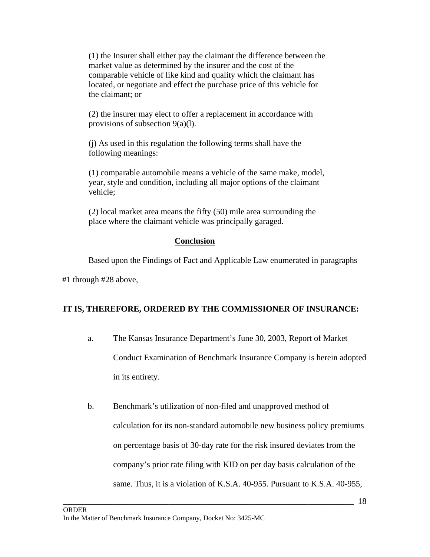(1) the Insurer shall either pay the claimant the difference between the market value as determined by the insurer and the cost of the comparable vehicle of like kind and quality which the claimant has located, or negotiate and effect the purchase price of this vehicle for the claimant; or

 (2) the insurer may elect to offer a replacement in accordance with provisions of subsection 9(a)(l).

 (j) As used in this regulation the following terms shall have the following meanings:

 (1) comparable automobile means a vehicle of the same make, model, year, style and condition, including all major options of the claimant vehicle;

 (2) local market area means the fifty (50) mile area surrounding the place where the claimant vehicle was principally garaged.

# **Conclusion**

Based upon the Findings of Fact and Applicable Law enumerated in paragraphs

#1 through #28 above,

# **IT IS, THEREFORE, ORDERED BY THE COMMISSIONER OF INSURANCE:**

- a.The Kansas Insurance Department's June 30, 2003, Report of Market Conduct Examination of Benchmark Insurance Company is herein adopted in its entirety.
- b. Benchmark's utilization of non-filed and unapproved method of calculation for its non-standard automobile new business policy premiums on percentage basis of 30-day rate for the risk insured deviates from the company's prior rate filing with KID on per day basis calculation of the same. Thus, it is a violation of K.S.A. 40-955. Pursuant to K.S.A. 40-955,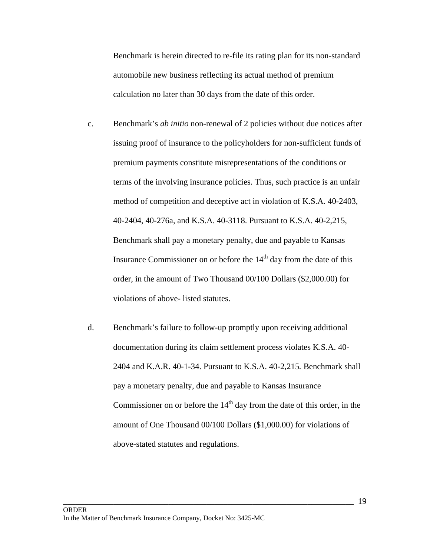Benchmark is herein directed to re-file its rating plan for its non-standard automobile new business reflecting its actual method of premium calculation no later than 30 days from the date of this order.

- c. Benchmark's *ab initio* non-renewal of 2 policies without due notices after issuing proof of insurance to the policyholders for non-sufficient funds of premium payments constitute misrepresentations of the conditions or terms of the involving insurance policies. Thus, such practice is an unfair method of competition and deceptive act in violation of K.S.A. 40-2403, 40-2404, 40-276a, and K.S.A. 40-3118. Pursuant to K.S.A. 40-2,215, Benchmark shall pay a monetary penalty, due and payable to Kansas Insurance Commissioner on or before the  $14<sup>th</sup>$  day from the date of this order, in the amount of Two Thousand 00/100 Dollars (\$2,000.00) for violations of above- listed statutes.
- d. Benchmark's failure to follow-up promptly upon receiving additional documentation during its claim settlement process violates K.S.A. 40- 2404 and K.A.R. 40-1-34. Pursuant to K.S.A. 40-2,215*.* Benchmark shall pay a monetary penalty, due and payable to Kansas Insurance Commissioner on or before the  $14<sup>th</sup>$  day from the date of this order, in the amount of One Thousand 00/100 Dollars (\$1,000.00) for violations of above-stated statutes and regulations.

\_\_\_\_\_\_\_\_\_\_\_\_\_\_\_\_\_\_\_\_\_\_\_\_\_\_\_\_\_\_\_\_\_\_\_\_\_\_\_\_\_\_\_\_\_\_\_\_\_\_\_\_\_\_\_\_\_\_\_\_\_\_\_\_\_\_\_\_\_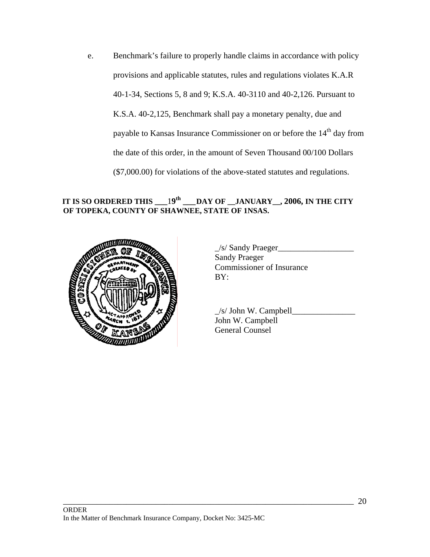e. Benchmark's failure to properly handle claims in accordance with policy provisions and applicable statutes, rules and regulations violates K.A.R 40-1-34, Sections 5, 8 and 9; K.S.A. 40-3110 and 40-2,126. Pursuant to K.S.A. 40-2,125, Benchmark shall pay a monetary penalty, due and payable to Kansas Insurance Commissioner on or before the 14<sup>th</sup> day from the date of this order, in the amount of Seven Thousand 00/100 Dollars (\$7,000.00) for violations of the above-stated statutes and regulations.

# **IT IS SO ORDERED THIS \_\_\_**1**9th \_\_\_DAY OF \_\_JANUARY\_\_, 2006, IN THE CITY OF TOPEKA, COUNTY OF SHAWNEE, STATE OF 1NSAS.**



 $\angle$ s/ Sandy Praeger $\Box$ Sandy Praeger Commissioner of Insurance

 \_/s/ John W. Campbell\_\_\_\_\_\_\_\_\_\_\_\_\_\_\_ John W. Campbell General Counsel

\_\_\_\_\_\_\_\_\_\_\_\_\_\_\_\_\_\_\_\_\_\_\_\_\_\_\_\_\_\_\_\_\_\_\_\_\_\_\_\_\_\_\_\_\_\_\_\_\_\_\_\_\_\_\_\_\_\_\_\_\_\_\_\_\_\_\_\_\_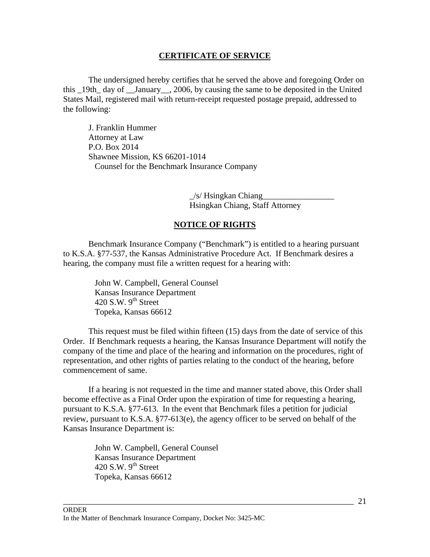## **CERTIFICATE OF SERVICE**

 The undersigned hereby certifies that he served the above and foregoing Order on this 19th day of January, 2006, by causing the same to be deposited in the United States Mail, registered mail with return-receipt requested postage prepaid, addressed to the following:

J. Franklin Hummer Attorney at Law P.O. Box 2014 Shawnee Mission, KS 66201-1014 Counsel for the Benchmark Insurance Company

> $\angle$ s/ Hsingkan Chiang Hsingkan Chiang, Staff Attorney

## **NOTICE OF RIGHTS**

 Benchmark Insurance Company ("Benchmark") is entitled to a hearing pursuant to K.S.A. §77-537, the Kansas Administrative Procedure Act. If Benchmark desires a hearing, the company must file a written request for a hearing with:

> John W. Campbell, General Counsel Kansas Insurance Department 420 S.W.  $9<sup>th</sup>$  Street Topeka, Kansas 66612

 This request must be filed within fifteen (15) days from the date of service of this Order. If Benchmark requests a hearing, the Kansas Insurance Department will notify the company of the time and place of the hearing and information on the procedures, right of representation, and other rights of parties relating to the conduct of the hearing, before commencement of same.

 If a hearing is not requested in the time and manner stated above, this Order shall become effective as a Final Order upon the expiration of time for requesting a hearing, pursuant to K.S.A. §77-613. In the event that Benchmark files a petition for judicial review, pursuant to K.S.A. §77-613(e), the agency officer to be served on behalf of the Kansas Insurance Department is:

\_\_\_\_\_\_\_\_\_\_\_\_\_\_\_\_\_\_\_\_\_\_\_\_\_\_\_\_\_\_\_\_\_\_\_\_\_\_\_\_\_\_\_\_\_\_\_\_\_\_\_\_\_\_\_\_\_\_\_\_\_\_\_\_\_\_\_\_\_

John W. Campbell, General Counsel Kansas Insurance Department 420 S.W.  $9<sup>th</sup>$  Street Topeka, Kansas 66612